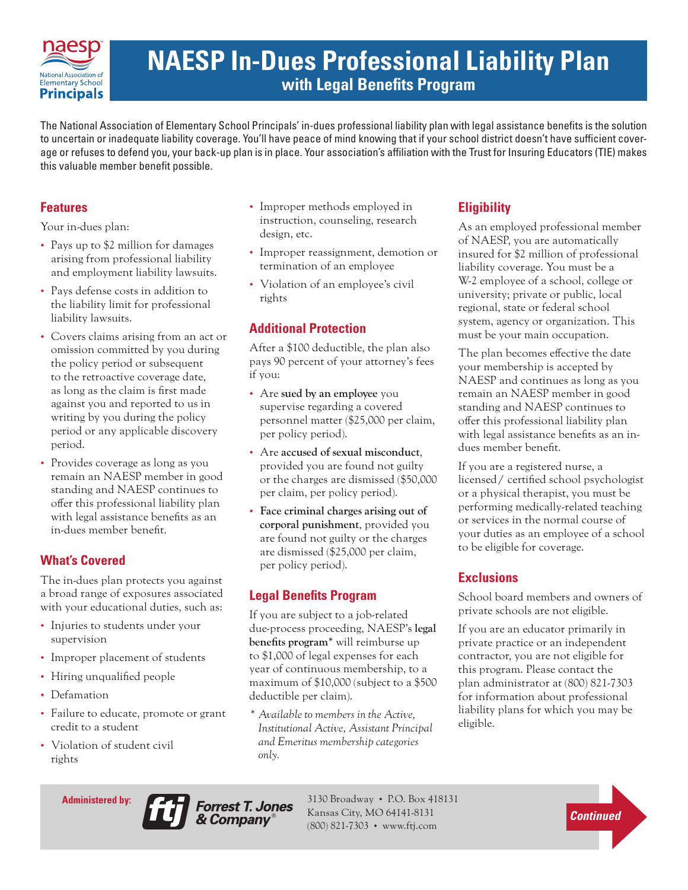

# **NAESP In-Dues Professional Liability Plan with Legal Benefits Program**

The National Association of Elementary School Principals' in-dues professional liability plan with legal assistance benefits is the solution to uncertain or inadequate liability coverage. You'll have peace of mind knowing that if your school district doesn't have sufficient coverage or refuses to defend you, your back-up plan is in place. Your association's affiliation with the Trust for Insuring Educators (TIE) makes this valuable member benefit possible.

## **Features**

Your in-dues plan:

- Pays up to \$2 million for damages arising from professional liability and employment liability lawsuits.
- Pays defense costs in addition to the liability limit for professional liability lawsuits.
- Covers claims arising from an act or omission committed by you during the policy period or subsequent to the retroactive coverage date, as long as the claim is first made against you and reported to us in writing by you during the policy period or any applicable discovery period.
- Provides coverage as long as you remain an NAESP member in good standing and NAESP continues to offer this professional liability plan with legal assistance benefits as an in-dues member benefit.

# **What's Covered**

The in-dues plan protects you against a broad range of exposures associated with your educational duties, such as:

- Injuries to students under your supervision
- Improper placement of students
- Hiring unqualified people
- Defamation
- Failure to educate, promote or grant credit to a student
- Violation of student civil rights
- Improper methods employed in instruction, counseling, research design, etc.
- Improper reassignment, demotion or termination of an employee
- Violation of an employee's civil rights

# **Additional Protection**

After a \$100 deductible, the plan also pays 90 percent of your attorney's fees if you:

- Are **sued by an employee** you supervise regarding a covered personnel matter (\$25,000 per claim, per policy period).
- Are **accused of sexual misconduct**, provided you are found not guilty or the charges are dismissed (\$50,000 per claim, per policy period).
- **Face criminal charges arising out of corporal punishment**, provided you are found not guilty or the charges are dismissed (\$25,000 per claim, per policy period).

# **Legal Benefits Program**

If you are subject to a job-related due-process proceeding, NAESP's **legal benefits program\*** will reimburse up to \$1,000 of legal expenses for each year of continuous membership, to a maximum of \$10,000 (subject to a \$500 deductible per claim).

*\* Available to members in the Active, Institutional Active, Assistant Principal and Emeritus membership categories only.*

# **Eligibility**

As an employed professional member of NAESP, you are automatically insured for \$2 million of professional liability coverage. You must be a W-2 employee of a school, college or university; private or public, local regional, state or federal school system, agency or organization. This must be your main occupation.

The plan becomes effective the date your membership is accepted by NAESP and continues as long as you remain an NAESP member in good standing and NAESP continues to offer this professional liability plan with legal assistance benefits as an indues member benefit.

If you are a registered nurse, a licensed/ certified school psychologist or a physical therapist, you must be performing medically-related teaching or services in the normal course of your duties as an employee of a school to be eligible for coverage.

## **Exclusions**

School board members and owners of private schools are not eligible.

If you are an educator primarily in private practice or an independent contractor, you are not eligible for this program. Please contact the plan administrator at (800) 821-7303 for information about professional liability plans for which you may be eligible.

**Administered by:** 



3130 Broadway • P.O. Box 418131 Kansas City, MO 64141-8131 (800) 821-7303 • www.ftj.com